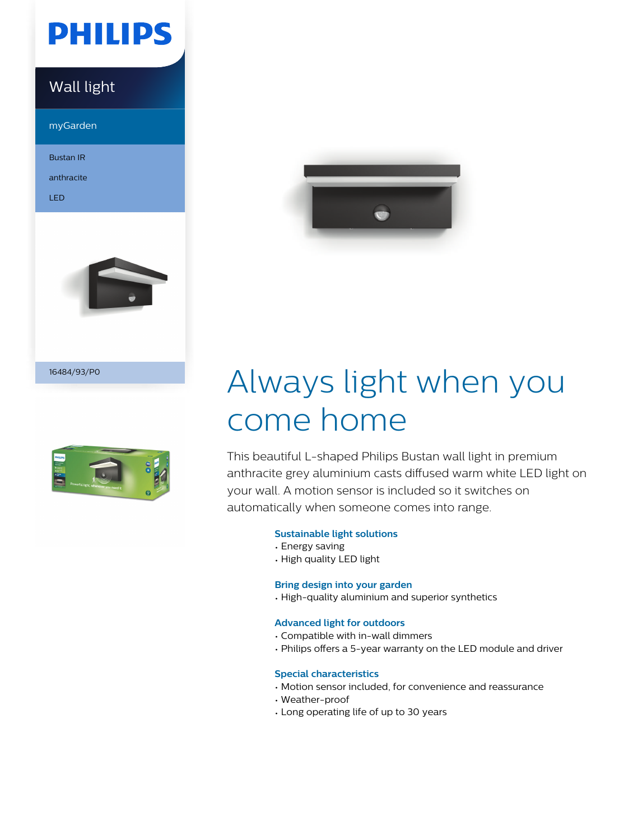

### Wall light

myGarden

Bustan IR

anthracite

LED



16484/93/P0





# Always light when you come home

This beautiful L-shaped Philips Bustan wall light in premium anthracite grey aluminium casts diffused warm white LED light on your wall. A motion sensor is included so it switches on automatically when someone comes into range.

#### **Sustainable light solutions**

- Energy saving
- High quality LED light

#### **Bring design into your garden**

• High-quality aluminium and superior synthetics

#### **Advanced light for outdoors**

- Compatible with in-wall dimmers
- Philips offers a 5-year warranty on the LED module and driver

#### **Special characteristics**

- Motion sensor included, for convenience and reassurance
- Weather-proof
- Long operating life of up to 30 years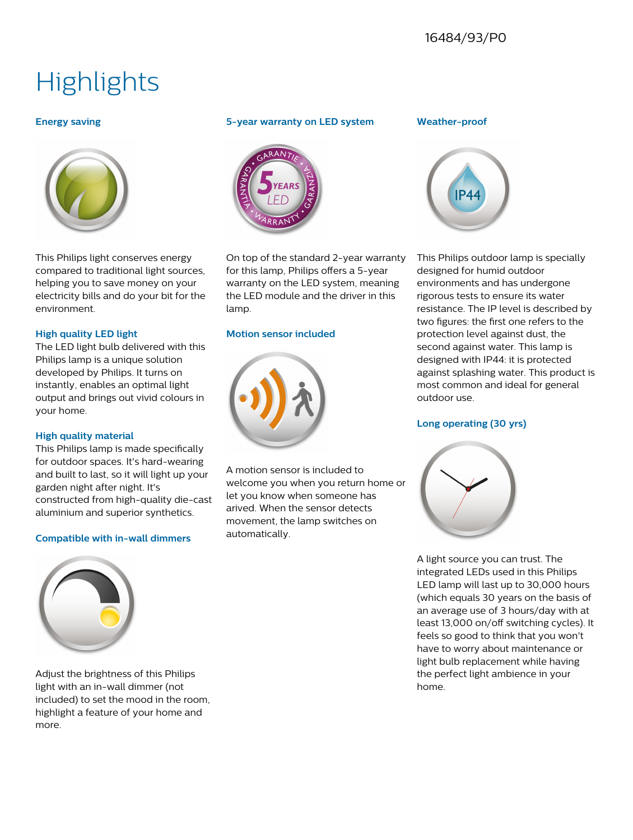## **Highlights**

#### **Energy saving**



This Philips light conserves energy compared to traditional light sources, helping you to save money on your electricity bills and do your bit for the environment.

#### **High quality LED light**

The LED light bulb delivered with this Philips lamp is a unique solution developed by Philips. It turns on instantly, enables an optimal light output and brings out vivid colours in your home.

#### **High quality material**

This Philips lamp is made specifically for outdoor spaces. It's hard-wearing and built to last, so it will light up your garden night after night. It's constructed from high-quality die-cast aluminium and superior synthetics.

#### **Compatible with in-wall dimmers**



Adjust the brightness of this Philips light with an in-wall dimmer (not included) to set the mood in the room, highlight a feature of your home and more.

#### **5-year warranty on LED system**



On top of the standard 2-year warranty for this lamp, Philips offers a 5-year warranty on the LED system, meaning the LED module and the driver in this lamp.

#### **Motion sensor included**



A motion sensor is included to welcome you when you return home or let you know when someone has arived. When the sensor detects movement, the lamp switches on automatically.

#### **Weather-proof**



This Philips outdoor lamp is specially designed for humid outdoor environments and has undergone rigorous tests to ensure its water resistance. The IP level is described by two figures: the first one refers to the protection level against dust, the second against water. This lamp is designed with IP44: it is protected against splashing water. This product is most common and ideal for general outdoor use.

#### **Long operating (30 yrs)**



A light source you can trust. The integrated LEDs used in this Philips LED lamp will last up to 30,000 hours (which equals 30 years on the basis of an average use of 3 hours/day with at least 13,000 on/off switching cycles). It feels so good to think that you won't have to worry about maintenance or light bulb replacement while having the perfect light ambience in your home.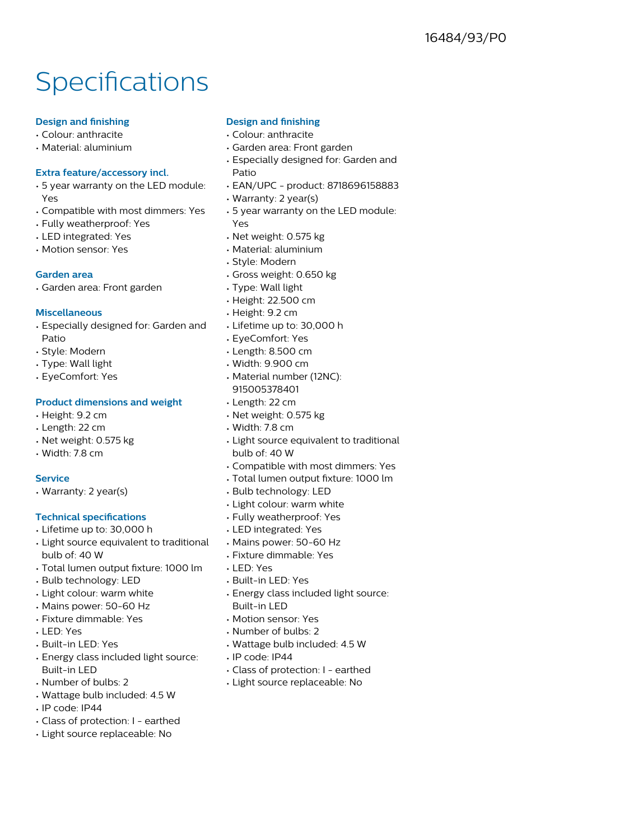## **Specifications**

#### **Design and finishing**

- Colour: anthracite
- Material: aluminium

#### **Extra feature/accessory incl.**

- 5 year warranty on the LED module: Yes
- Compatible with most dimmers: Yes
- Fully weatherproof: Yes
- LED integrated: Yes
- Motion sensor: Yes

#### **Garden area**

• Garden area: Front garden

#### **Miscellaneous**

- Especially designed for: Garden and Patio
- Style: Modern
- Type: Wall light
- EyeComfort: Yes

#### **Product dimensions and weight**

- Height: 9.2 cm
- Length: 22 cm
- Net weight: 0.575 kg
- Width: 7.8 cm

#### **Service**

• Warranty: 2 year(s)

#### **Technical specifications**

- Lifetime up to: 30,000 h
- Light source equivalent to traditional bulb of: 40 W
- Total lumen output fixture: 1000 lm
- Bulb technology: LED
- Light colour: warm white
- Mains power: 50-60 Hz
- Fixture dimmable: Yes
- LED: Yes
- Built-in LED: Yes
- Energy class included light source: Built-in LED
- Number of bulbs: 2
- Wattage bulb included: 4.5 W
- IP code: IP44
- Class of protection: I earthed
- Light source replaceable: No

#### **Design and finishing**

- Colour: anthracite
- Garden area: Front garden
- Especially designed for: Garden and Patio
- EAN/UPC product: 8718696158883
- Warranty: 2 year(s)
- 5 year warranty on the LED module: Yes
- Net weight: 0.575 kg
- Material: aluminium
- Style: Modern
- Gross weight: 0.650 kg
- Type: Wall light
- Height: 22.500 cm
- Height: 9.2 cm
- Lifetime up to: 30,000 h
- EyeComfort: Yes
- Length: 8.500 cm
- Width: 9.900 cm
- Material number (12NC): 915005378401
- Length: 22 cm
- Net weight: 0.575 kg
- Width: 7.8 cm
- Light source equivalent to traditional bulb of: 40 W
- Compatible with most dimmers: Yes
- Total lumen output fixture: 1000 lm
- Bulb technology: LED
- Light colour: warm white
- Fully weatherproof: Yes
- LED integrated: Yes
- Mains power: 50-60 Hz
- Fixture dimmable: Yes
- LED: Yes
- Built-in LED: Yes
- Energy class included light source: Built-in LED
- Motion sensor: Yes
- Number of bulbs: 2
- Wattage bulb included: 4.5 W
- IP code: IP44
- Class of protection: I earthed
- Light source replaceable: No